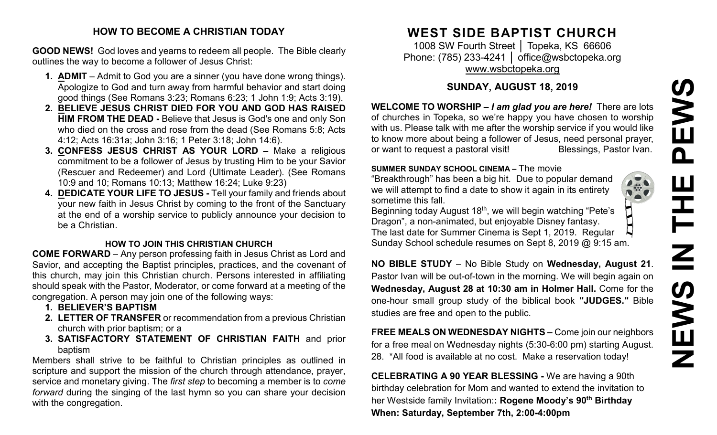# **NEWS IN THE PEWS**EWS  $\mathbf \Omega$ Ш  $\overline{\mathbf{Z}}$ **SWEN**

#### **HOW TO BECOME A CHRISTIAN TODAY**

**GOOD NEWS!** God loves and yearns to redeem all people. The Bible clearly outlines the way to become a follower of Jesus Christ:

- **1. ADMIT** Admit to God you are a sinner (you have done wrong things). Apologize to God and turn away from harmful behavior and start doing good things (See Romans 3:23; Romans 6:23; 1 John 1:9; Acts 3:19).
- **2. BELIEVE JESUS CHRIST DIED FOR YOU AND GOD HAS RAISED HIM FROM THE DEAD -** Believe that Jesus is God's one and only Son who died on the cross and rose from the dead (See Romans 5:8; Acts 4:12; Acts 16:31a; John 3:16; 1 Peter 3:18; John 14:6).
- **3. CONFESS JESUS CHRIST AS YOUR LORD –** Make a religious commitment to be a follower of Jesus by trusting Him to be your Savior (Rescuer and Redeemer) and Lord (Ultimate Leader). (See Romans 10:9 and 10; Romans 10:13; Matthew 16:24; Luke 9:23)
- **4. DEDICATE YOUR LIFE TO JESUS -** Tell your family and friends about your new faith in Jesus Christ by coming to the front of the Sanctuary at the end of a worship service to publicly announce your decision to be a Christian.

#### **HOW TO JOIN THIS CHRISTIAN CHURCH**

**COME FORWARD** – Any person professing faith in Jesus Christ as Lord and Savior, and accepting the Baptist principles, practices, and the covenant of this church, may join this Christian church. Persons interested in affiliating should speak with the Pastor, Moderator, or come forward at a meeting of the congregation. A person may join one of the following ways:

- **1. BELIEVER'S BAPTISM**
- **2. LETTER OF TRANSFER** or recommendation from a previous Christian church with prior baptism; or a
- **3. SATISFACTORY STATEMENT OF CHRISTIAN FAITH** and prior baptism

Members shall strive to be faithful to Christian principles as outlined in scripture and support the mission of the church through attendance, prayer, service and monetary giving. The *first step* to becoming a member is to *come forward* during the singing of the last hymn so you can share your decision with the congregation.

# **WEST SIDE BAPTIST CHURCH**

1008 SW Fourth Street | Topeka, KS 66606 Phone: (785) 233-4241 │ [office@wsbctopeka.org](mailto:office@wsbctopeka.org) [www.wsbctopeka.org](http://www.wsbctopeka.org/)

### **SUNDAY, AUGUST 18, 2019**

**WELCOME TO WORSHIP –** *I am glad you are here!* There are lots of churches in Topeka, so we're happy you have chosen to worship with us. Please talk with me after the worship service if you would like to know more about being a follower of Jesus, need personal prayer, or want to request a pastoral visit! Blessings, Pastor Ivan.

#### **SUMMER SUNDAY SCHOOL CINEMA –** The movie

"Breakthrough" has been a big hit. Due to popular demand we will attempt to find a date to show it again in its entirety sometime this fall.

Beginning today August 18<sup>th</sup>, we will begin watching "Pete's  $\prod$ Dragon", a non-animated, but enjoyable Disney fantasy. The last date for Summer Cinema is Sept 1, 2019. Regular Sunday School schedule resumes on Sept 8, 2019 @ 9:15 am.

**NO BIBLE STUDY** – No Bible Study on **Wednesday, August 21**. Pastor Ivan will be out-of-town in the morning. We will begin again on **Wednesday, August 28 at 10:30 am in Holmer Hall.** Come for the one-hour small group study of the biblical book **"JUDGES."** Bible studies are free and open to the public.

**FREE MEALS ON WEDNESDAY NIGHTS –** Come join our neighbors for a free meal on Wednesday nights (5:30-6:00 pm) starting August. 28. \*All food is available at no cost. Make a reservation today!

**CELEBRATING A 90 YEAR BLESSING -** We are having a 90th birthday celebration for Mom and wanted to extend the invitation to her Westside family Invitation:**: Rogene Moody's 90th Birthday When: Saturday, September 7th, 2:00-4:00pm**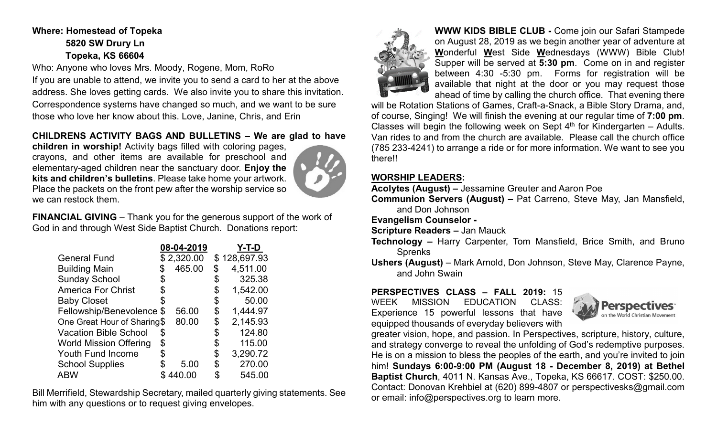### **Where: Homestead of Topeka 5820 SW Drury Ln Topeka, KS 66604**

Who: Anyone who loves Mrs. Moody, Rogene, Mom, RoRo

If you are unable to attend, we invite you to send a card to her at the above address. She loves getting cards. We also invite you to share this invitation. Correspondence systems have changed so much, and we want to be sure those who love her know about this. Love, Janine, Chris, and Erin

#### **CHILDRENS ACTIVITY BAGS AND BULLETINS – We are glad to have**

**children in worship!** Activity bags filled with coloring pages, crayons, and other items are available for preschool and elementary-aged children near the sanctuary door. **Enjoy the kits and children's bulletins**. Please take home your artwork. Place the packets on the front pew after the worship service so we can restock them.



**FINANCIAL GIVING** – Thank you for the generous support of the work of God in and through West Side Baptist Church. Donations report:

|                               |    | 08-04-2019 |    | Y-T-D        |
|-------------------------------|----|------------|----|--------------|
| <b>General Fund</b>           |    | \$2,320.00 |    | \$128,697.93 |
| <b>Building Main</b>          | \$ | 465.00     | \$ | 4,511.00     |
| <b>Sunday School</b>          | \$ |            |    | 325.38       |
| <b>America For Christ</b>     | \$ |            | \$ | 1,542.00     |
| <b>Baby Closet</b>            |    |            | \$ | 50.00        |
| Fellowship/Benevolence \$     |    | 56.00      | \$ | 1,444.97     |
| One Great Hour of Sharing\$   |    | 80.00      | \$ | 2,145.93     |
| <b>Vacation Bible School</b>  | \$ |            | \$ | 124.80       |
| <b>World Mission Offering</b> | \$ |            |    | 115.00       |
| <b>Youth Fund Income</b>      | S  |            | \$ | 3,290.72     |
| <b>School Supplies</b>        |    | 5.00       | S  | 270.00       |
| <b>ABW</b>                    |    | 440.00     |    | 545.00       |

Bill Merrifield, Stewardship Secretary, mailed quarterly giving statements. See him with any questions or to request giving envelopes.



**WWW KIDS BIBLE CLUB -** Come join our Safari Stampede on August 28, 2019 as we begin another year of adventure at **W**onderful **W**est Side **W**ednesdays (WWW) Bible Club! Supper will be served at **5:30 pm**. Come on in and register between 4:30 -5:30 pm. Forms for registration will be available that night at the door or you may request those ahead of time by calling the church office. That evening there

will be Rotation Stations of Games, Craft-a-Snack, a Bible Story Drama, and, of course, Singing! We will finish the evening at our regular time of **7:00 pm**. Classes will begin the following week on Sept  $4<sup>th</sup>$  for Kindergarten – Adults. Van rides to and from the church are available. Please call the church office (785 233-4241) to arrange a ride or for more information. We want to see you there!!

#### **WORSHIP LEADERS:**

**Acolytes (August) –** Jessamine Greuter and Aaron Poe

**Communion Servers (August) –** Pat Carreno, Steve May, Jan Mansfield, and Don Johnson

**Evangelism Counselor -**

**Scripture Readers –** Jan Mauck

- **Technology –** Harry Carpenter, Tom Mansfield, Brice Smith, and Bruno Sprenks
- **Ushers (August)**  Mark Arnold, Don Johnson, Steve May, Clarence Payne, and John Swain

## **PERSPECTIVES CLASS – FALL 2019:** 15

WEEK MISSION EDUCATION CLASS: Experience 15 powerful lessons that have equipped thousands of everyday believers with



greater vision, hope, and passion. In Perspectives, scripture, history, culture, and strategy converge to reveal the unfolding of God's redemptive purposes. He is on a mission to bless the peoples of the earth, and you're invited to join him! **Sundays 6:00-9:00 PM (August 18 - December 8, 2019) at Bethel Baptist Church**, 4011 N. Kansas Ave., Topeka, KS 66617. COST: \$250.00. Contact: Donovan Krehbiel at (620) 899-4807 or perspectivesks@gmail.com or email: info@perspectives.org to learn more.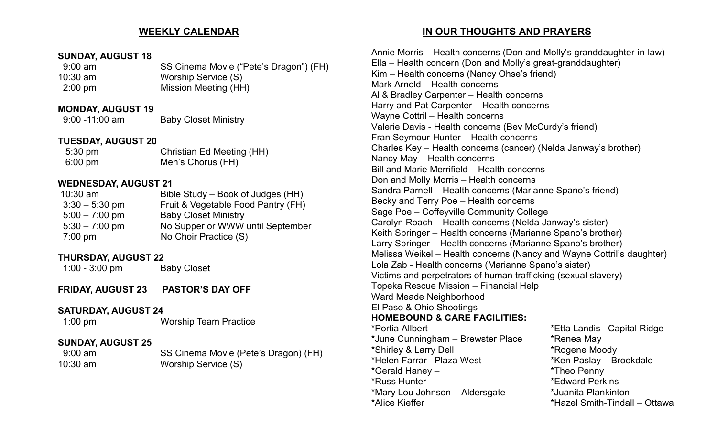#### **WEEKLY CALENDAR**

#### **SUNDAY, AUGUST 18**

| $9:00 \text{ am}$ | SS Cinema Movie ("Pete's Dragon") (FH) |
|-------------------|----------------------------------------|
| $10:30$ am        | Worship Service (S)                    |
| $2:00 \text{ pm}$ | Mission Meeting (HH)                   |

#### **MONDAY, AUGUST 19**

9:00 -11:00 am Baby Closet Ministry

#### **TUESDAY, AUGUST 20**

| 5:30 pm | <b>Christian Ed Meeting (HH)</b> |
|---------|----------------------------------|
| 6:00 pm | Men's Chorus (FH)                |

#### **WEDNESDAY, AUGUST 21**

| $10:30$ am        | Bible Study – Book of Judges (HH)  |
|-------------------|------------------------------------|
| $3:30 - 5:30$ pm  | Fruit & Vegetable Food Pantry (FH) |
| $5:00 - 7:00$ pm  | <b>Baby Closet Ministry</b>        |
| $5:30 - 7:00$ pm  | No Supper or WWW until September   |
| $7:00 \text{ pm}$ | No Choir Practice (S)              |
|                   |                                    |

#### **THURSDAY, AUGUST 22**

1:00 - 3:00 pm Baby Closet

**FRIDAY, AUGUST 23 PASTOR'S DAY OFF**

#### **SATURDAY, AUGUST 24**

1:00 pm Worship Team Practice

#### **SUNDAY, AUGUST 25**

9:00 am SS Cinema Movie (Pete's Dragon) (FH) 10:30 am Worship Service (S)

#### **IN OUR THOUGHTS AND PRAYERS**

Annie Morris – Health concerns (Don and Molly's granddaughter-in-law) Ella – Health concern (Don and Molly's great-granddaughter) Kim – Health concerns (Nancy Ohse's friend) Mark Arnold – Health concerns Al & Bradley Carpenter – Health concerns Harry and Pat Carpenter – Health concerns Wayne Cottril – Health concerns Valerie Davis - Health concerns (Bev McCurdy's friend) Fran Seymour-Hunter – Health concerns Charles Key – Health concerns (cancer) (Nelda Janway's brother) Nancy May – Health concerns Bill and Marie Merrifield – Health concerns Don and Molly Morris – Health concerns Sandra Parnell – Health concerns (Marianne Spano's friend) Becky and Terry Poe – Health concerns Sage Poe – Coffeyville Community College Carolyn Roach – Health concerns (Nelda Janway's sister) Keith Springer – Health concerns (Marianne Spano's brother) Larry Springer – Health concerns (Marianne Spano's brother) Melissa Weikel – Health concerns (Nancy and Wayne Cottril's daughter) Lola Zab - Health concerns (Marianne Spano's sister) Victims and perpetrators of human trafficking (sexual slavery) Topeka Rescue Mission – Financial Help Ward Meade Neighborhood El Paso & Ohio Shootings **HOMEBOUND & CARE FACILITIES:**  \*Etta Landis –Capital Ridge \*June Cunningham – Brewster Place \* \* Renea May \*Shirley & Larry Dell \*Rogene Moody  $*$ Ken Paslay – Brookdale \*Gerald Haney – \*Theo Penny \*Russ Hunter – \*Edward Perkins \*Mary Lou Johnson – Aldersgate \*Juanita Plankinton \*Alice Kieffer \*Hazel Smith-Tindall – Ottawa